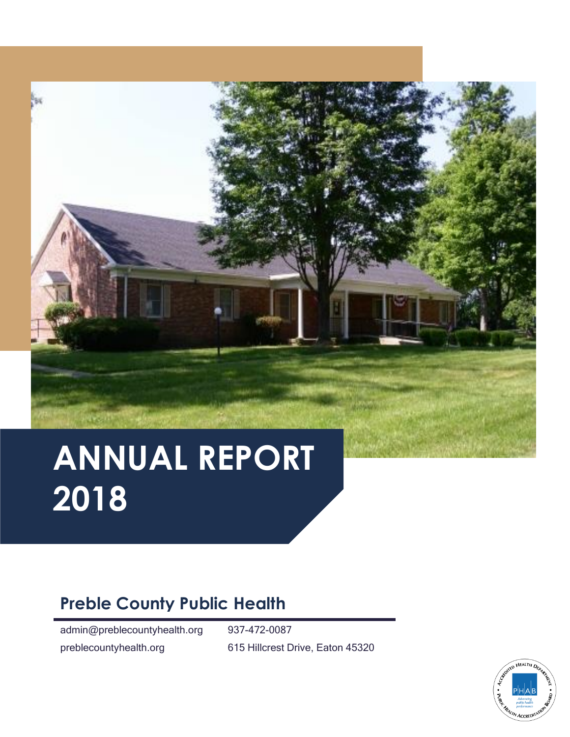# **ANNUAL REPORT 2018**

# **Preble County Public Health**

admin@preblecountyhealth.org 937-472-0087

preblecountyhealth.org 615 Hillcrest Drive, Eaton 45320

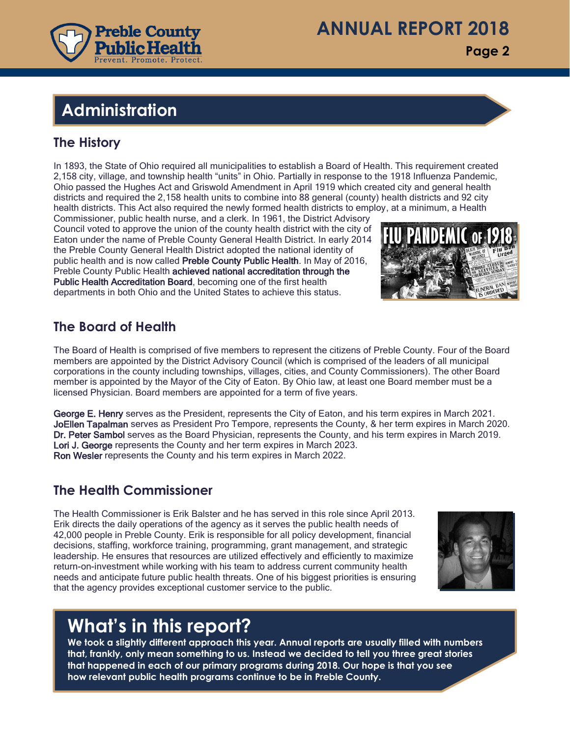

**Page 2**

# **Administration Administration**

#### **The History**

In 1893, the State of Ohio required all municipalities to establish a Board of Health. This requirement created 2,158 city, village, and township health "units" in Ohio. Partially in response to the 1918 Influenza Pandemic, Ohio passed the Hughes Act and Griswold Amendment in April 1919 which created city and general health districts and required the 2,158 health units to combine into 88 general (county) health districts and 92 city health districts. This Act also required the newly formed health districts to employ, at a minimum, a Health

Commissioner, public health nurse, and a clerk. In 1961, the District Advisory Council voted to approve the union of the county health district with the city of Eaton under the name of Preble County General Health District. In early 2014 the Preble County General Health District adopted the national identity of public health and is now called Preble County Public Health. In May of 2016, Preble County Public Health achieved national accreditation through the Public Health Accreditation Board, becoming one of the first health departments in both Ohio and the United States to achieve this status.

#### **The Board of Health**

The Board of Health is comprised of five members to represent the citizens of Preble County. Four of the Board members are appointed by the District Advisory Council (which is comprised of the leaders of all municipal corporations in the county including townships, villages, cities, and County Commissioners). The other Board member is appointed by the Mayor of the City of Eaton. By Ohio law, at least one Board member must be a licensed Physician. Board members are appointed for a term of five years.

George E. Henry serves as the President, represents the City of Eaton, and his term expires in March 2021. JoEllen Tapalman serves as President Pro Tempore, represents the County, & her term expires in March 2020. Dr. Peter Sambol serves as the Board Physician, represents the County, and his term expires in March 2019. Lori J. George represents the County and her term expires in March 2023. Ron Wesler represents the County and his term expires in March 2022.

#### **The Health Commissioner**

The Health Commissioner is Erik Balster and he has served in this role since April 2013. Erik directs the daily operations of the agency as it serves the public health needs of 42,000 people in Preble County. Erik is responsible for all policy development, financial decisions, staffing, workforce training, programming, grant management, and strategic leadership. He ensures that resources are utilized effectively and efficiently to maximize return-on-investment while working with his team to address current community health needs and anticipate future public health threats. One of his biggest priorities is ensuring that the agency provides exceptional customer service to the public.



## **What's in this report?**

**We took a slightly different approach this year. Annual reports are usually filled with numbers that, frankly, only mean something to us. Instead we decided to tell you three great stories that happened in each of our primary programs during 2018. Our hope is that you see how relevant public health programs continue to be in Preble County.**

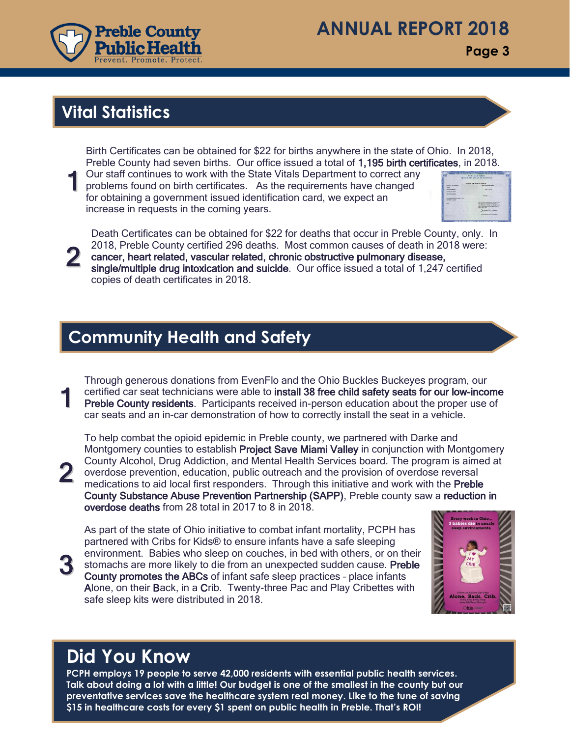

## **ANNUAL REPORT 2018**

**Page 3**

## **Vital Statistics**

Birth Certificates can be obtained for \$22 for births anywhere in the state of Ohio. In 2018, Preble County had seven births. Our office issued a total of 1,195 birth certificates, in 2018.

1 Our staff continues to work with the State Vitals Department to correct any problems found on birth certificates. As the requirements have changed for obtaining a government issued identification card, we expect an increase in requests in the coming years.



Death Certificates can be obtained for \$22 for deaths that occur in Preble County, only. In 2018, Preble County certified 296 deaths. Most common causes of death in 2018 were:

2 cancer, heart related, vascular related, chronic obstructive pulmonary disease, single/multiple drug intoxication and suicide. Our office issued a total of 1,247 certified copies of death certificates in 2018.

#### **Community Health and Safety**

1 Through generous donations from EvenFlo and the Ohio Buckles Buckeyes program, our certified car seat technicians were able to install 38 free child safety seats for our low-income Preble County residents. Participants received in-person education about the proper use of car seats and an in-car demonstration of how to correctly install the seat in a vehicle.

To help combat the opioid epidemic in Preble county, we partnered with Darke and Montgomery counties to establish Project Save Miami Valley in conjunction with Montgomery County Alcohol, Drug Addiction, and Mental Health Services board. The program is aimed at overdose prevention, education, public outreach and the provision of overdose reversal medications to aid local first responders. Through this initiative and work with the Preble County Substance Abuse Prevention Partnership (SAPP), Preble county saw a reduction in overdose deaths from 28 total in 2017 to 8 in 2018.

3

2

As part of the state of Ohio initiative to combat infant mortality, PCPH has partnered with Cribs for Kids® to ensure infants have a safe sleeping environment. Babies who sleep on couches, in bed with others, or on their stomachs are more likely to die from an unexpected sudden cause. Preble County promotes the ABCs of infant safe sleep practices – place infants Alone, on their Back, in a Crib. Twenty-three Pac and Play Cribettes with safe sleep kits were distributed in 2018.



# **Did You Know**

**PCPH employs 19 people to serve 42,000 residents with essential public health services. Talk about doing a lot with a little! Our budget is one of the smallest in the county but our preventative services save the healthcare system real money. Like to the tune of saving \$15 in healthcare costs for every \$1 spent on public health in Preble. That's ROI!**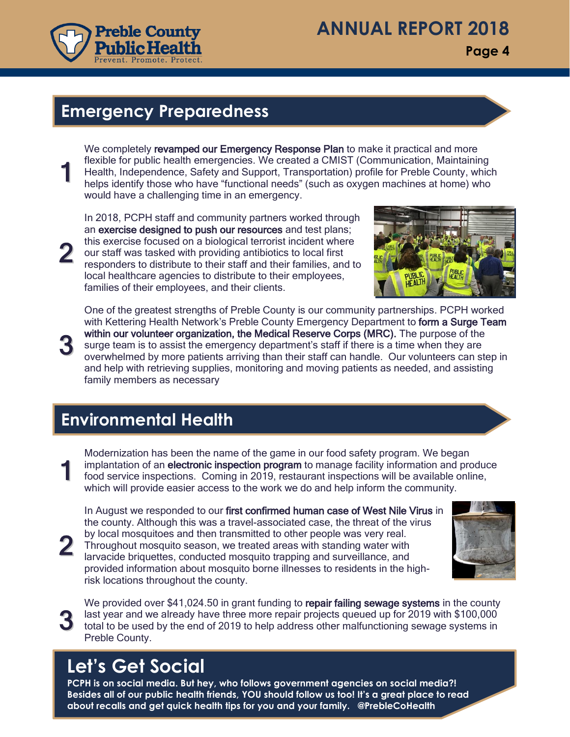

**Page 4**

#### **Emergency Preparedness**

1 We completely revamped our Emergency Response Plan to make it practical and more flexible for public health emergencies. We created a CMIST (Communication, Maintaining Health, Independence, Safety and Support, Transportation) profile for Preble County, which helps identify those who have "functional needs" (such as oxygen machines at home) who would have a challenging time in an emergency.

2 In 2018, PCPH staff and community partners worked through an exercise designed to push our resources and test plans; this exercise focused on a biological terrorist incident where our staff was tasked with providing antibiotics to local first responders to distribute to their staff and their families, and to local healthcare agencies to distribute to their employees, families of their employees, and their clients.



3 One of the greatest strengths of Preble County is our community partnerships. PCPH worked with Kettering Health Network's Preble County Emergency Department to form a Surge Team within our volunteer organization, the Medical Reserve Corps (MRC). The purpose of the surge team is to assist the emergency department's staff if there is a time when they are overwhelmed by more patients arriving than their staff can handle. Our volunteers can step in and help with retrieving supplies, monitoring and moving patients as needed, and assisting family members as necessary

## **Environmental Health**

1 Modernization has been the name of the game in our food safety program. We began implantation of an electronic inspection program to manage facility information and produce food service inspections. Coming in 2019, restaurant inspections will be available online, which will provide easier access to the work we do and help inform the community.

In August we responded to our first confirmed human case of West Nile Virus in the county. Although this was a travel-associated case, the threat of the virus by local mosquitoes and then transmitted to other people was very real. Throughout mosquito season, we treated areas with standing water with larvacide briquettes, conducted mosquito trapping and surveillance, and provided information about mosquito borne illnesses to residents in the highrisk locations throughout the county.



3 We provided over \$41,024.50 in grant funding to repair failing sewage systems in the county last year and we already have three more repair projects queued up for 2019 with \$100,000 total to be used by the end of 2019 to help address other malfunctioning sewage systems in Preble County.

# **Let's Get Social**

2

**PCPH is on social media. But hey, who follows government agencies on social media?! Besides all of our public health friends, YOU should follow us too! It's a great place to read about recalls and get quick health tips for you and your family. @PrebleCoHealth**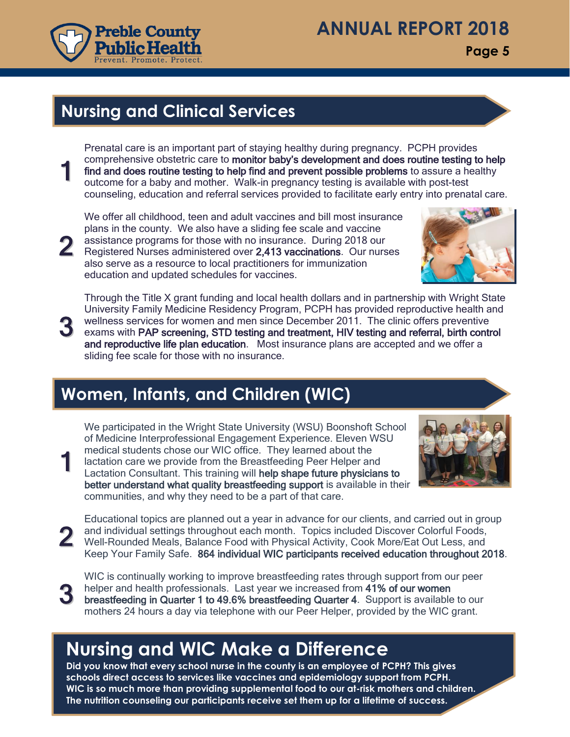

# **ANNUAL REPORT 2018**

**Page 5**

#### **Nursing and Clinical Services**

1 Prenatal care is an important part of staying healthy during pregnancy. PCPH provides comprehensive obstetric care to monitor baby's development and does routine testing to help find and does routine testing to help find and prevent possible problems to assure a healthy outcome for a baby and mother. Walk-in pregnancy testing is available with post-test counseling, education and referral services provided to facilitate early entry into prenatal care.

We offer all childhood, teen and adult vaccines and bill most insurance plans in the county. We also have a sliding fee scale and vaccine assistance programs for those with no insurance. During 2018 our Registered Nurses administered over 2,413 vaccinations. Our nurses also serve as a resource to local practitioners for immunization education and updated schedules for vaccines.



Through the Title X grant funding and local health dollars and in partnership with Wright State University Family Medicine Residency Program, PCPH has provided reproductive health and

3 wellness services for women and men since December 2011. The clinic offers preventive exams with PAP screening, STD testing and treatment, HIV testing and referral, birth control and reproductive life plan education. Most insurance plans are accepted and we offer a sliding fee scale for those with no insurance.

## **Women, Infants, and Children (WIC)**

1 We participated in the Wright State University (WSU) Boonshoft School of Medicine Interprofessional Engagement Experience. Eleven WSU medical students chose our WIC office. They learned about the lactation care we provide from the Breastfeeding Peer Helper and Lactation Consultant. This training will help shape future physicians to better understand what quality breastfeeding support is available in their communities, and why they need to be a part of that care.



2 and individual settings throughout each month. Topics included Discover Colorful Foods,<br>Well-Rounded Meals, Balance Food with Physical Activity, Cook More/Eat Out Less, and Educational topics are planned out a year in advance for our clients, and carried out in group and individual settings throughout each month. Topics included Discover Colorful Foods, Keep Your Family Safe. 864 individual WIC participants received education throughout 2018.

3

2

WIC is continually working to improve breastfeeding rates through support from our peer helper and health professionals. Last year we increased from 41% of our women breastfeeding in Quarter 1 to 49.6% breastfeeding Quarter 4. Support is available to our mothers 24 hours a day via telephone with our Peer Helper, provided by the WIC grant.

# **Nursing and WIC Make a Difference**

**Did you know that every school nurse in the county is an employee of PCPH? This gives schools direct access to services like vaccines and epidemiology support from PCPH. WIC is so much more than providing supplemental food to our at-risk mothers and children. The nutrition counseling our participants receive set them up for a lifetime of success.**